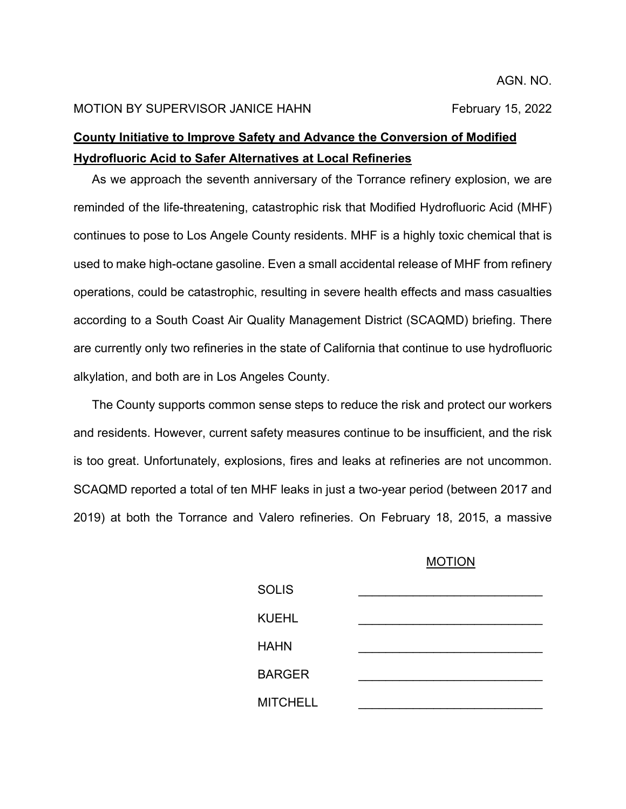#### MOTION BY SUPERVISOR JANICE HAHN February 15, 2022

# **County Initiative to Improve Safety and Advance the Conversion of Modified Hydrofluoric Acid to Safer Alternatives at Local Refineries**

As we approach the seventh anniversary of the Torrance refinery explosion, we are reminded of the life-threatening, catastrophic risk that Modified Hydrofluoric Acid (MHF) continues to pose to Los Angele County residents. MHF is a highly toxic chemical that is used to make high-octane gasoline. Even a small accidental release of MHF from refinery operations, could be catastrophic, resulting in severe health effects and mass casualties according to a South Coast Air Quality Management District (SCAQMD) briefing. There are currently only two refineries in the state of California that continue to use hydrofluoric alkylation, and both are in Los Angeles County.

The County supports common sense steps to reduce the risk and protect our workers and residents. However, current safety measures continue to be insufficient, and the risk is too great. Unfortunately, explosions, fires and leaks at refineries are not uncommon. SCAQMD reported a total of ten MHF leaks in just a two-year period (between 2017 and 2019) at both the Torrance and Valero refineries. On February 18, 2015, a massive

### MOTION

| <b>SOLIS</b>    |  |
|-----------------|--|
| <b>KUEHL</b>    |  |
| <b>HAHN</b>     |  |
| <b>BARGER</b>   |  |
| <b>MITCHELL</b> |  |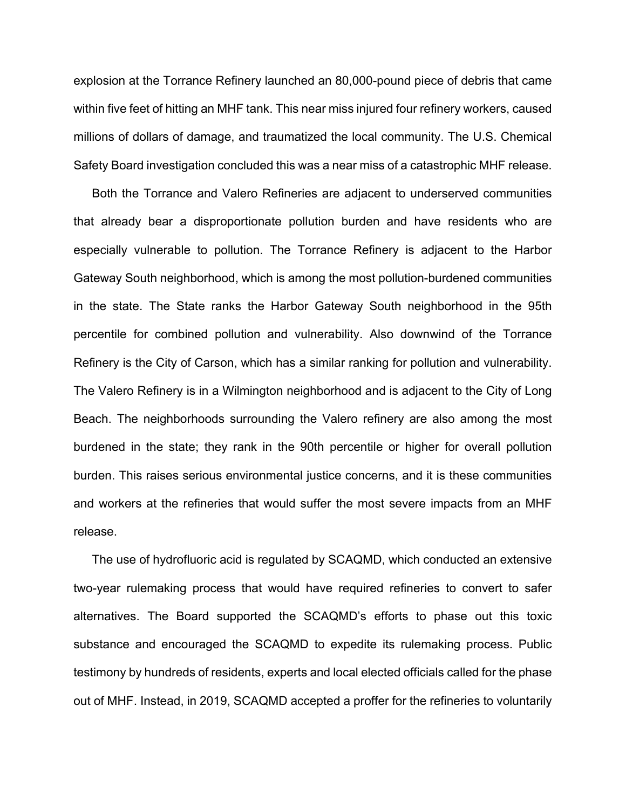explosion at the Torrance Refinery launched an 80,000-pound piece of debris that came within five feet of hitting an MHF tank. This near miss injured four refinery workers, caused millions of dollars of damage, and traumatized the local community. The U.S. Chemical Safety Board investigation concluded this was a near miss of a catastrophic MHF release.

Both the Torrance and Valero Refineries are adjacent to underserved communities that already bear a disproportionate pollution burden and have residents who are especially vulnerable to pollution. The Torrance Refinery is adjacent to the Harbor Gateway South neighborhood, which is among the most pollution-burdened communities in the state. The State ranks the Harbor Gateway South neighborhood in the 95th percentile for combined pollution and vulnerability. Also downwind of the Torrance Refinery is the City of Carson, which has a similar ranking for pollution and vulnerability. The Valero Refinery is in a Wilmington neighborhood and is adjacent to the City of Long Beach. The neighborhoods surrounding the Valero refinery are also among the most burdened in the state; they rank in the 90th percentile or higher for overall pollution burden. This raises serious environmental justice concerns, and it is these communities and workers at the refineries that would suffer the most severe impacts from an MHF release.

The use of hydrofluoric acid is regulated by SCAQMD, which conducted an extensive two-year rulemaking process that would have required refineries to convert to safer alternatives. The Board supported the SCAQMD's efforts to phase out this toxic substance and encouraged the SCAQMD to expedite its rulemaking process. Public testimony by hundreds of residents, experts and local elected officials called for the phase out of MHF. Instead, in 2019, SCAQMD accepted a proffer for the refineries to voluntarily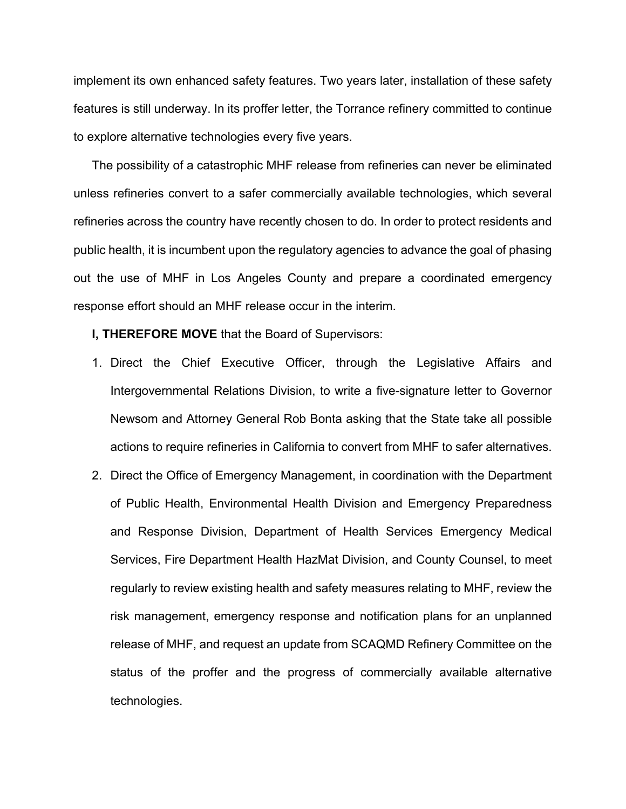implement its own enhanced safety features. Two years later, installation of these safety features is still underway. In its proffer letter, the Torrance refinery committed to continue to explore alternative technologies every five years.

The possibility of a catastrophic MHF release from refineries can never be eliminated unless refineries convert to a safer commercially available technologies, which several refineries across the country have recently chosen to do. In order to protect residents and public health, it is incumbent upon the regulatory agencies to advance the goal of phasing out the use of MHF in Los Angeles County and prepare a coordinated emergency response effort should an MHF release occur in the interim.

**I, THEREFORE MOVE** that the Board of Supervisors:

- 1. Direct the Chief Executive Officer, through the Legislative Affairs and Intergovernmental Relations Division, to write a five-signature letter to Governor Newsom and Attorney General Rob Bonta asking that the State take all possible actions to require refineries in California to convert from MHF to safer alternatives.
- 2. Direct the Office of Emergency Management, in coordination with the Department of Public Health, Environmental Health Division and Emergency Preparedness and Response Division, Department of Health Services Emergency Medical Services, Fire Department Health HazMat Division, and County Counsel, to meet regularly to review existing health and safety measures relating to MHF, review the risk management, emergency response and notification plans for an unplanned release of MHF, and request an update from SCAQMD Refinery Committee on the status of the proffer and the progress of commercially available alternative technologies.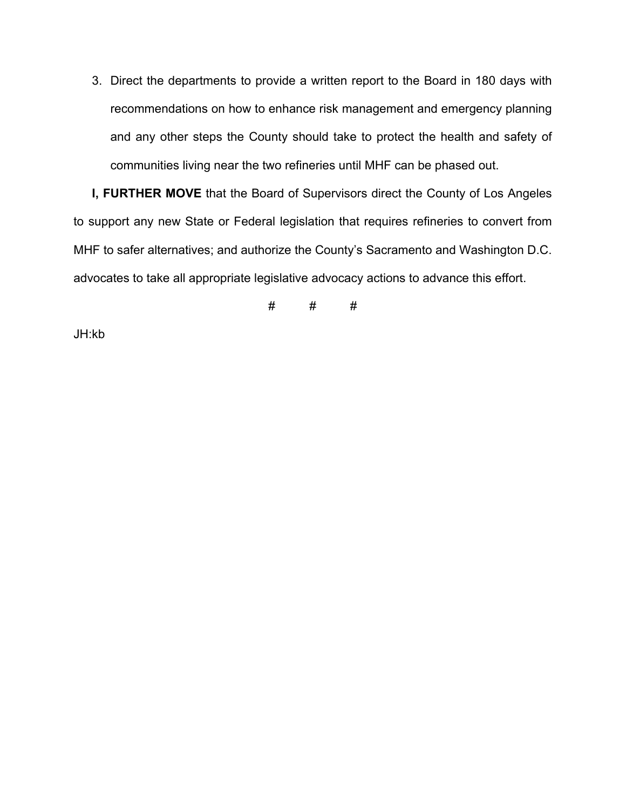3. Direct the departments to provide a written report to the Board in 180 days with recommendations on how to enhance risk management and emergency planning and any other steps the County should take to protect the health and safety of communities living near the two refineries until MHF can be phased out.

**I, FURTHER MOVE** that the Board of Supervisors direct the County of Los Angeles to support any new State or Federal legislation that requires refineries to convert from MHF to safer alternatives; and authorize the County's Sacramento and Washington D.C. advocates to take all appropriate legislative advocacy actions to advance this effort.

# # #

JH:kb